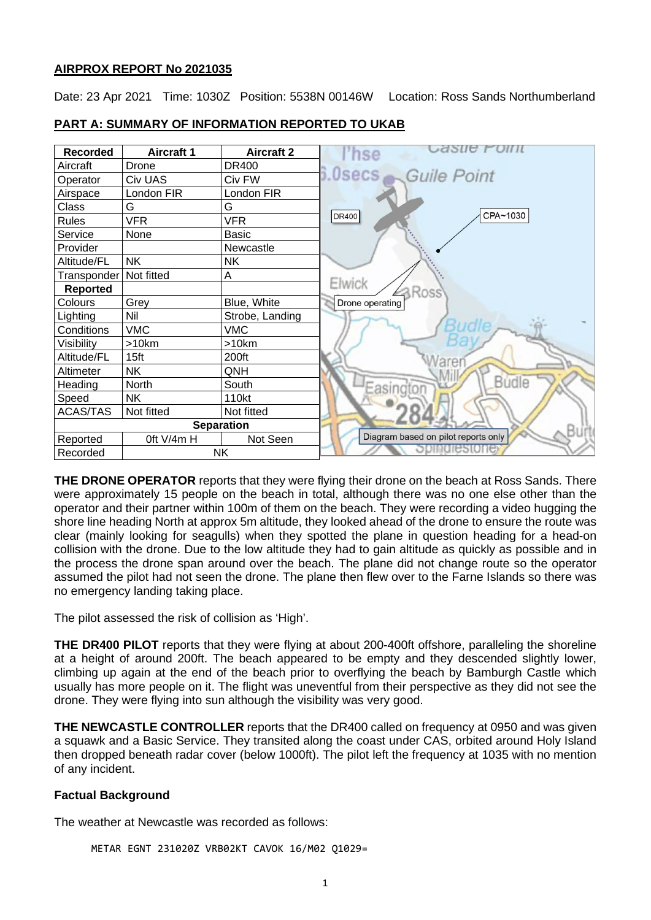#### **AIRPROX REPORT No 2021035**

Date: 23 Apr 2021 Time: 1030Z Position: 5538N 00146W Location: Ross Sands Northumberland



#### **PART A: SUMMARY OF INFORMATION REPORTED TO UKAB**

**THE DRONE OPERATOR** reports that they were flying their drone on the beach at Ross Sands. There were approximately 15 people on the beach in total, although there was no one else other than the operator and their partner within 100m of them on the beach. They were recording a video hugging the shore line heading North at approx 5m altitude, they looked ahead of the drone to ensure the route was clear (mainly looking for seagulls) when they spotted the plane in question heading for a head-on collision with the drone. Due to the low altitude they had to gain altitude as quickly as possible and in the process the drone span around over the beach. The plane did not change route so the operator assumed the pilot had not seen the drone. The plane then flew over to the Farne Islands so there was no emergency landing taking place.

The pilot assessed the risk of collision as 'High'.

**THE DR400 PILOT** reports that they were flying at about 200-400ft offshore, paralleling the shoreline at a height of around 200ft. The beach appeared to be empty and they descended slightly lower, climbing up again at the end of the beach prior to overflying the beach by Bamburgh Castle which usually has more people on it. The flight was uneventful from their perspective as they did not see the drone. They were flying into sun although the visibility was very good.

**THE NEWCASTLE CONTROLLER** reports that the DR400 called on frequency at 0950 and was given a squawk and a Basic Service. They transited along the coast under CAS, orbited around Holy Island then dropped beneath radar cover (below 1000ft). The pilot left the frequency at 1035 with no mention of any incident.

## **Factual Background**

The weather at Newcastle was recorded as follows:

METAR EGNT 231020Z VRB02KT CAVOK 16/M02 Q1029=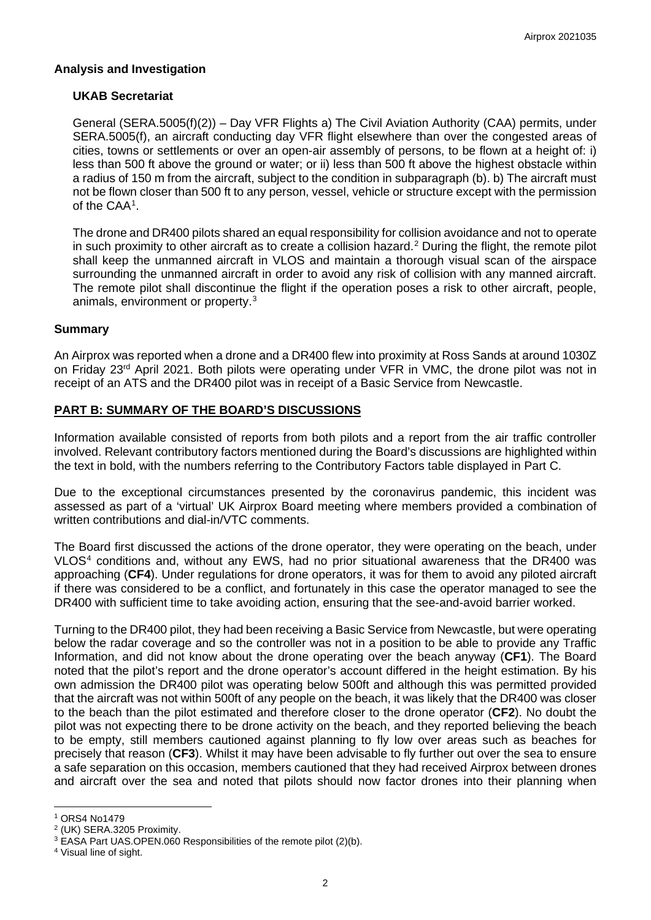## **Analysis and Investigation**

#### **UKAB Secretariat**

General (SERA.5005(f)(2)) – Day VFR Flights a) The Civil Aviation Authority (CAA) permits, under SERA.5005(f), an aircraft conducting day VFR flight elsewhere than over the congested areas of cities, towns or settlements or over an open-air assembly of persons, to be flown at a height of: i) less than 500 ft above the ground or water; or ii) less than 500 ft above the highest obstacle within a radius of 150 m from the aircraft, subject to the condition in subparagraph (b). b) The aircraft must not be flown closer than 500 ft to any person, vessel, vehicle or structure except with the permission of the CAA[1](#page-1-0) .

The drone and DR400 pilots shared an equal responsibility for collision avoidance and not to operate in such proximity to other aircraft as to create a collision hazard. [2](#page-1-1) During the flight, the remote pilot shall keep the unmanned aircraft in VLOS and maintain a thorough visual scan of the airspace surrounding the unmanned aircraft in order to avoid any risk of collision with any manned aircraft. The remote pilot shall discontinue the flight if the operation poses a risk to other aircraft, people, animals, environment or property.[3](#page-1-2)

#### **Summary**

An Airprox was reported when a drone and a DR400 flew into proximity at Ross Sands at around 1030Z on Friday 23<sup>rd</sup> April 2021. Both pilots were operating under VFR in VMC, the drone pilot was not in receipt of an ATS and the DR400 pilot was in receipt of a Basic Service from Newcastle.

## **PART B: SUMMARY OF THE BOARD'S DISCUSSIONS**

Information available consisted of reports from both pilots and a report from the air traffic controller involved. Relevant contributory factors mentioned during the Board's discussions are highlighted within the text in bold, with the numbers referring to the Contributory Factors table displayed in Part C.

Due to the exceptional circumstances presented by the coronavirus pandemic, this incident was assessed as part of a 'virtual' UK Airprox Board meeting where members provided a combination of written contributions and dial-in/VTC comments.

The Board first discussed the actions of the drone operator, they were operating on the beach, under VLOS<sup>4</sup> conditions and, without any EWS, had no prior situational awareness that the DR400 was approaching (**CF4**). Under regulations for drone operators, it was for them to avoid any piloted aircraft if there was considered to be a conflict, and fortunately in this case the operator managed to see the DR400 with sufficient time to take avoiding action, ensuring that the see-and-avoid barrier worked.

Turning to the DR400 pilot, they had been receiving a Basic Service from Newcastle, but were operating below the radar coverage and so the controller was not in a position to be able to provide any Traffic Information, and did not know about the drone operating over the beach anyway (**CF1**). The Board noted that the pilot's report and the drone operator's account differed in the height estimation. By his own admission the DR400 pilot was operating below 500ft and although this was permitted provided that the aircraft was not within 500ft of any people on the beach, it was likely that the DR400 was closer to the beach than the pilot estimated and therefore closer to the drone operator (**CF2**). No doubt the pilot was not expecting there to be drone activity on the beach, and they reported believing the beach to be empty, still members cautioned against planning to fly low over areas such as beaches for precisely that reason (**CF3**). Whilst it may have been advisable to fly further out over the sea to ensure a safe separation on this occasion, members cautioned that they had received Airprox between drones and aircraft over the sea and noted that pilots should now factor drones into their planning when

<span id="page-1-0"></span><sup>1</sup> ORS4 No1479

<span id="page-1-1"></span><sup>2</sup> (UK) SERA.3205 Proximity.

<span id="page-1-2"></span><sup>&</sup>lt;sup>3</sup> EASA Part UAS.OPEN.060 Responsibilities of the remote pilot (2)(b).

<span id="page-1-3"></span><sup>4</sup> Visual line of sight.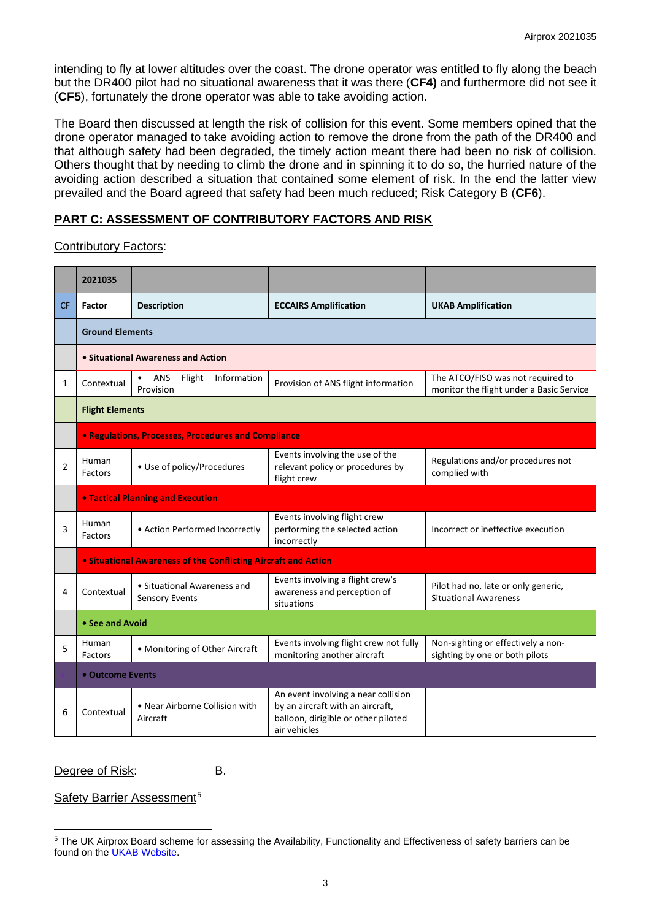intending to fly at lower altitudes over the coast. The drone operator was entitled to fly along the beach but the DR400 pilot had no situational awareness that it was there (**CF4)** and furthermore did not see it (**CF5**), fortunately the drone operator was able to take avoiding action.

The Board then discussed at length the risk of collision for this event. Some members opined that the drone operator managed to take avoiding action to remove the drone from the path of the DR400 and that although safety had been degraded, the timely action meant there had been no risk of collision. Others thought that by needing to climb the drone and in spinning it to do so, the hurried nature of the avoiding action described a situation that contained some element of risk. In the end the latter view prevailed and the Board agreed that safety had been much reduced; Risk Category B (**CF6**).

# **PART C: ASSESSMENT OF CONTRIBUTORY FACTORS AND RISK**

Contributory Factors:

|                | 2021035                 |                                                                       |                                                                                                                                |                                                                               |  |  |  |  |  |  |  |  |
|----------------|-------------------------|-----------------------------------------------------------------------|--------------------------------------------------------------------------------------------------------------------------------|-------------------------------------------------------------------------------|--|--|--|--|--|--|--|--|
| <b>CF</b>      | <b>Factor</b>           | <b>Description</b>                                                    | <b>ECCAIRS Amplification</b>                                                                                                   | <b>UKAB Amplification</b>                                                     |  |  |  |  |  |  |  |  |
|                |                         | <b>Ground Elements</b>                                                |                                                                                                                                |                                                                               |  |  |  |  |  |  |  |  |
|                |                         | • Situational Awareness and Action                                    |                                                                                                                                |                                                                               |  |  |  |  |  |  |  |  |
| $\mathbf{1}$   | Contextual              | ANS<br>Flight<br>Information<br>Provision                             | Provision of ANS flight information                                                                                            | The ATCO/FISO was not required to<br>monitor the flight under a Basic Service |  |  |  |  |  |  |  |  |
|                | <b>Flight Elements</b>  |                                                                       |                                                                                                                                |                                                                               |  |  |  |  |  |  |  |  |
|                |                         | <b>• Regulations, Processes, Procedures and Compliance</b>            |                                                                                                                                |                                                                               |  |  |  |  |  |  |  |  |
| $\overline{2}$ | Human<br><b>Factors</b> | • Use of policy/Procedures                                            | Events involving the use of the<br>relevant policy or procedures by<br>flight crew                                             | Regulations and/or procedures not<br>complied with                            |  |  |  |  |  |  |  |  |
|                |                         | <b>. Tactical Planning and Execution</b>                              |                                                                                                                                |                                                                               |  |  |  |  |  |  |  |  |
| 3              | Human<br><b>Factors</b> | • Action Performed Incorrectly                                        | Events involving flight crew<br>performing the selected action<br>incorrectly                                                  | Incorrect or ineffective execution                                            |  |  |  |  |  |  |  |  |
|                |                         | <b>• Situational Awareness of the Conflicting Aircraft and Action</b> |                                                                                                                                |                                                                               |  |  |  |  |  |  |  |  |
| 4              | Contextual              | • Situational Awareness and<br><b>Sensory Events</b>                  | Events involving a flight crew's<br>awareness and perception of<br>situations                                                  | Pilot had no, late or only generic,<br><b>Situational Awareness</b>           |  |  |  |  |  |  |  |  |
|                | • See and Avoid         |                                                                       |                                                                                                                                |                                                                               |  |  |  |  |  |  |  |  |
| 5              | Human<br>Factors        | • Monitoring of Other Aircraft                                        | Events involving flight crew not fully<br>monitoring another aircraft                                                          | Non-sighting or effectively a non-<br>sighting by one or both pilots          |  |  |  |  |  |  |  |  |
|                |                         | • Outcome Events                                                      |                                                                                                                                |                                                                               |  |  |  |  |  |  |  |  |
| 6              | Contextual              | • Near Airborne Collision with<br>Aircraft                            | An event involving a near collision<br>by an aircraft with an aircraft,<br>balloon, dirigible or other piloted<br>air vehicles |                                                                               |  |  |  |  |  |  |  |  |

## Degree of Risk: B.

## Safety Barrier Assessment<sup>[5](#page-2-0)</sup>

<span id="page-2-0"></span><sup>&</sup>lt;sup>5</sup> The UK Airprox Board scheme for assessing the Availability, Functionality and Effectiveness of safety barriers can be found on the [UKAB Website.](http://www.airproxboard.org.uk/Learn-more/Airprox-Barrier-Assessment/)